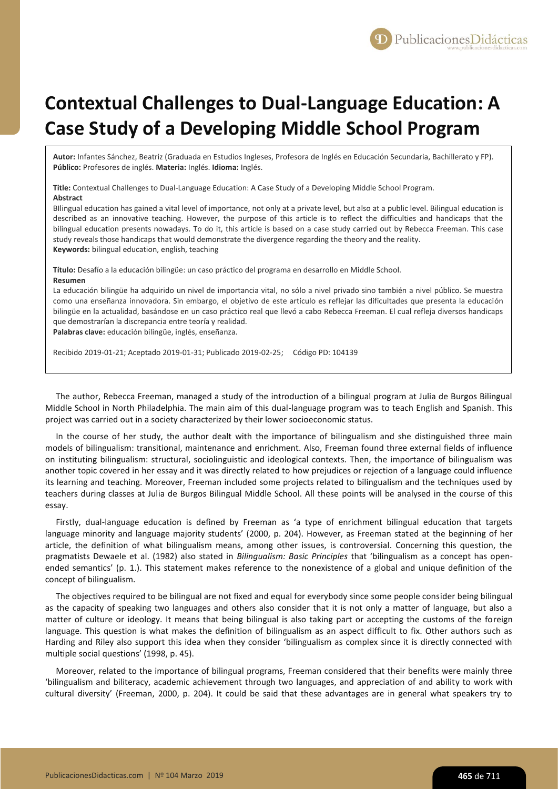

## **Contextual Challenges to Dual-Language Education: A Case Study of a Developing Middle School Program**

**Autor:** Infantes Sánchez, Beatriz (Graduada en Estudios Ingleses, Profesora de Inglés en Educación Secundaria, Bachillerato y FP). **Público:** Profesores de inglés. **Materia:** Inglés. **Idioma:** Inglés.

**Title:** Contextual Challenges to Dual-Language Education: A Case Study of a Developing Middle School Program. **Abstract**

BIlingual education has gained a vital level of importance, not only at a private level, but also at a public level. Bilingual education is described as an innovative teaching. However, the purpose of this article is to reflect the difficulties and handicaps that the bilingual education presents nowadays. To do it, this article is based on a case study carried out by Rebecca Freeman. This case study reveals those handicaps that would demonstrate the divergence regarding the theory and the reality. **Keywords:** bilingual education, english, teaching

**Título:** Desafío a la educación bilingüe: un caso práctico del programa en desarrollo en Middle School. **Resumen**

La educación bilingüe ha adquirido un nivel de importancia vital, no sólo a nivel privado sino también a nivel público. Se muestra como una enseñanza innovadora. Sin embargo, el objetivo de este artículo es reflejar las dificultades que presenta la educación bilingüe en la actualidad, basándose en un caso práctico real que llevó a cabo Rebecca Freeman. El cual refleja diversos handicaps que demostrarían la discrepancia entre teoría y realidad.

**Palabras clave:** educación bilingüe, inglés, enseñanza.

Recibido 2019-01-21; Aceptado 2019-01-31; Publicado 2019-02-25; Código PD: 104139

The author, Rebecca Freeman, managed a study of the introduction of a bilingual program at Julia de Burgos Bilingual Middle School in North Philadelphia. The main aim of this dual-language program was to teach English and Spanish. This project was carried out in a society characterized by their lower socioeconomic status.

In the course of her study, the author dealt with the importance of bilingualism and she distinguished three main models of bilingualism: transitional, maintenance and enrichment. Also, Freeman found three external fields of influence on instituting bilingualism: structural, sociolinguistic and ideological contexts. Then, the importance of bilingualism was another topic covered in her essay and it was directly related to how prejudices or rejection of a language could influence its learning and teaching. Moreover, Freeman included some projects related to bilingualism and the techniques used by teachers during classes at Julia de Burgos Bilingual Middle School. All these points will be analysed in the course of this essay.

Firstly, dual-language education is defined by Freeman as 'a type of enrichment bilingual education that targets language minority and language majority students' (2000, p. 204). However, as Freeman stated at the beginning of her article, the definition of what bilingualism means, among other issues, is controversial. Concerning this question, the pragmatists Dewaele et al. (1982) also stated in *Bilingualism: Basic Principles* that 'bilingualism as a concept has openended semantics' (p. 1.). This statement makes reference to the nonexistence of a global and unique definition of the concept of bilingualism.

The objectives required to be bilingual are not fixed and equal for everybody since some people consider being bilingual as the capacity of speaking two languages and others also consider that it is not only a matter of language, but also a matter of culture or ideology. It means that being bilingual is also taking part or accepting the customs of the foreign language. This question is what makes the definition of bilingualism as an aspect difficult to fix. Other authors such as Harding and Riley also support this idea when they consider 'bilingualism as complex since it is directly connected with multiple social questions' (1998, p. 45).

Moreover, related to the importance of bilingual programs, Freeman considered that their benefits were mainly three 'bilingualism and biliteracy, academic achievement through two languages, and appreciation of and ability to work with cultural diversity' (Freeman, 2000, p. 204). It could be said that these advantages are in general what speakers try to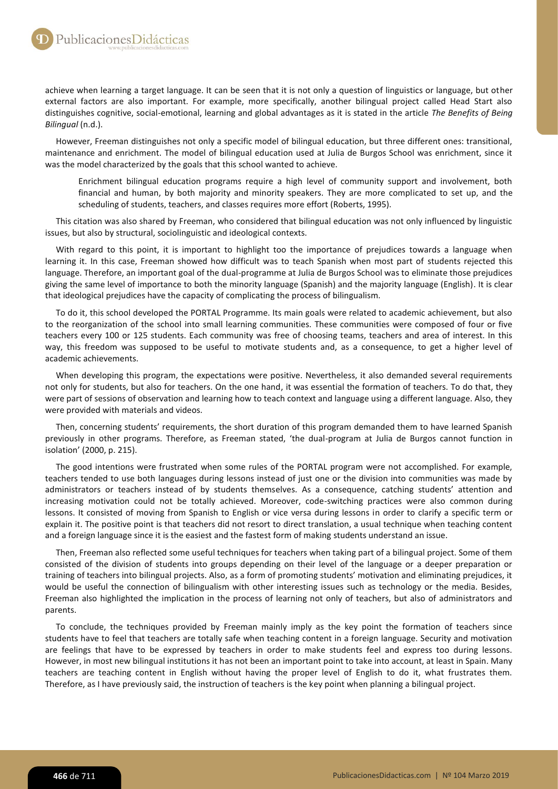achieve when learning a target language. It can be seen that it is not only a question of linguistics or language, but other external factors are also important. For example, more specifically, another bilingual project called Head Start also distinguishes cognitive, social-emotional, learning and global advantages as it is stated in the article *The Benefits of Being Bilingual* (n.d.).

However, Freeman distinguishes not only a specific model of bilingual education, but three different ones: transitional, maintenance and enrichment. The model of bilingual education used at Julia de Burgos School was enrichment, since it was the model characterized by the goals that this school wanted to achieve.

Enrichment bilingual education programs require a high level of community support and involvement, both financial and human, by both majority and minority speakers. They are more complicated to set up, and the scheduling of students, teachers, and classes requires more effort (Roberts, 1995).

This citation was also shared by Freeman, who considered that bilingual education was not only influenced by linguistic issues, but also by structural, sociolinguistic and ideological contexts.

With regard to this point, it is important to highlight too the importance of prejudices towards a language when learning it. In this case, Freeman showed how difficult was to teach Spanish when most part of students rejected this language. Therefore, an important goal of the dual-programme at Julia de Burgos School was to eliminate those prejudices giving the same level of importance to both the minority language (Spanish) and the majority language (English). It is clear that ideological prejudices have the capacity of complicating the process of bilingualism.

To do it, this school developed the PORTAL Programme. Its main goals were related to academic achievement, but also to the reorganization of the school into small learning communities. These communities were composed of four or five teachers every 100 or 125 students. Each community was free of choosing teams, teachers and area of interest. In this way, this freedom was supposed to be useful to motivate students and, as a consequence, to get a higher level of academic achievements.

When developing this program, the expectations were positive. Nevertheless, it also demanded several requirements not only for students, but also for teachers. On the one hand, it was essential the formation of teachers. To do that, they were part of sessions of observation and learning how to teach context and language using a different language. Also, they were provided with materials and videos.

Then, concerning students' requirements, the short duration of this program demanded them to have learned Spanish previously in other programs. Therefore, as Freeman stated, 'the dual-program at Julia de Burgos cannot function in isolation' (2000, p. 215).

The good intentions were frustrated when some rules of the PORTAL program were not accomplished. For example, teachers tended to use both languages during lessons instead of just one or the division into communities was made by administrators or teachers instead of by students themselves. As a consequence, catching students' attention and increasing motivation could not be totally achieved. Moreover, code-switching practices were also common during lessons. It consisted of moving from Spanish to English or vice versa during lessons in order to clarify a specific term or explain it. The positive point is that teachers did not resort to direct translation, a usual technique when teaching content and a foreign language since it is the easiest and the fastest form of making students understand an issue.

Then, Freeman also reflected some useful techniques for teachers when taking part of a bilingual project. Some of them consisted of the division of students into groups depending on their level of the language or a deeper preparation or training of teachers into bilingual projects. Also, as a form of promoting students' motivation and eliminating prejudices, it would be useful the connection of bilingualism with other interesting issues such as technology or the media. Besides, Freeman also highlighted the implication in the process of learning not only of teachers, but also of administrators and parents.

To conclude, the techniques provided by Freeman mainly imply as the key point the formation of teachers since students have to feel that teachers are totally safe when teaching content in a foreign language. Security and motivation are feelings that have to be expressed by teachers in order to make students feel and express too during lessons. However, in most new bilingual institutions it has not been an important point to take into account, at least in Spain. Many teachers are teaching content in English without having the proper level of English to do it, what frustrates them. Therefore, as I have previously said, the instruction of teachers is the key point when planning a bilingual project.